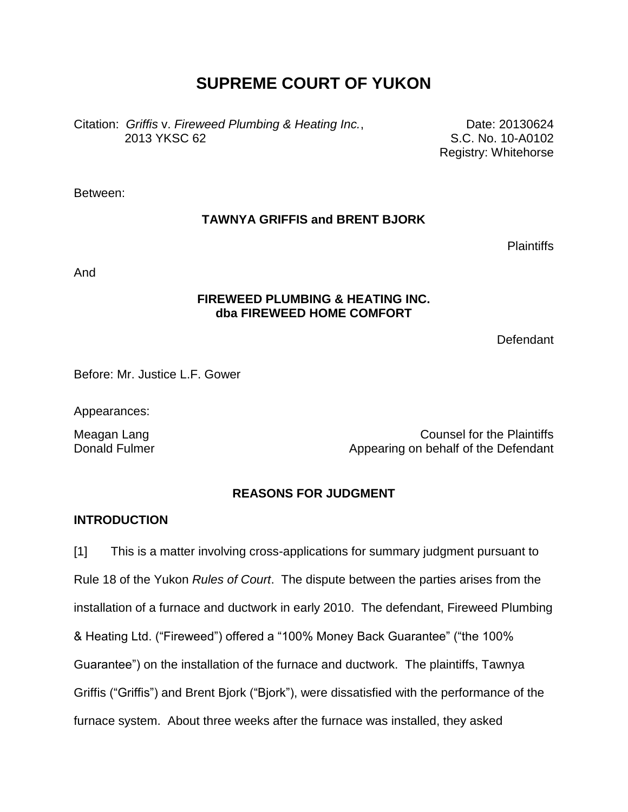# **SUPREME COURT OF YUKON**

Citation: *Griffis* v. *Fireweed Plumbing & Heating Inc.*, 2013 YKSC 62

Date: 20130624 S.C. No. 10-A0102 Registry: Whitehorse

Between:

## **TAWNYA GRIFFIS and BRENT BJORK**

Plaintiffs

And

## **FIREWEED PLUMBING & HEATING INC. dba FIREWEED HOME COMFORT**

Defendant

Before: Mr. Justice L.F. Gower

Appearances:

Meagan Lang Meagan Lang Donald Fulmer **Appearing on behalf of the Defendant** 

## **REASONS FOR JUDGMENT**

## **INTRODUCTION**

[1] This is a matter involving cross-applications for summary judgment pursuant to Rule 18 of the Yukon *Rules of Court*. The dispute between the parties arises from the installation of a furnace and ductwork in early 2010. The defendant, Fireweed Plumbing & Heating Ltd. ("Fireweed") offered a "100% Money Back Guarantee" ("the 100% Guarantee") on the installation of the furnace and ductwork. The plaintiffs, Tawnya Griffis ("Griffis") and Brent Bjork ("Bjork"), were dissatisfied with the performance of the furnace system. About three weeks after the furnace was installed, they asked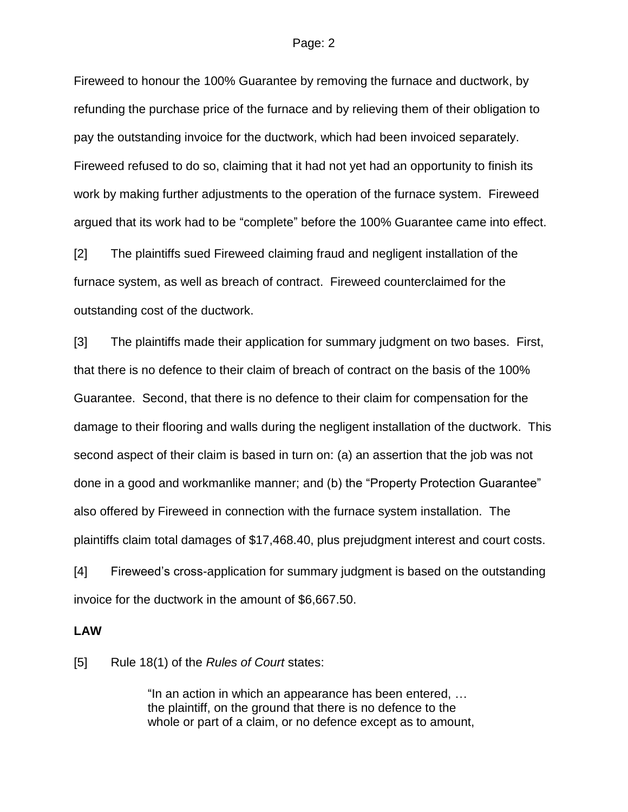Fireweed to honour the 100% Guarantee by removing the furnace and ductwork, by refunding the purchase price of the furnace and by relieving them of their obligation to pay the outstanding invoice for the ductwork, which had been invoiced separately. Fireweed refused to do so, claiming that it had not yet had an opportunity to finish its work by making further adjustments to the operation of the furnace system. Fireweed argued that its work had to be "complete" before the 100% Guarantee came into effect.

[2] The plaintiffs sued Fireweed claiming fraud and negligent installation of the furnace system, as well as breach of contract. Fireweed counterclaimed for the outstanding cost of the ductwork.

[3] The plaintiffs made their application for summary judgment on two bases. First, that there is no defence to their claim of breach of contract on the basis of the 100% Guarantee. Second, that there is no defence to their claim for compensation for the damage to their flooring and walls during the negligent installation of the ductwork. This second aspect of their claim is based in turn on: (a) an assertion that the job was not done in a good and workmanlike manner; and (b) the "Property Protection Guarantee" also offered by Fireweed in connection with the furnace system installation. The plaintiffs claim total damages of \$17,468.40, plus prejudgment interest and court costs.

[4] Fireweed's cross-application for summary judgment is based on the outstanding invoice for the ductwork in the amount of \$6,667.50.

### **LAW**

[5] Rule 18(1) of the *Rules of Court* states:

"In an action in which an appearance has been entered, … the plaintiff, on the ground that there is no defence to the whole or part of a claim, or no defence except as to amount,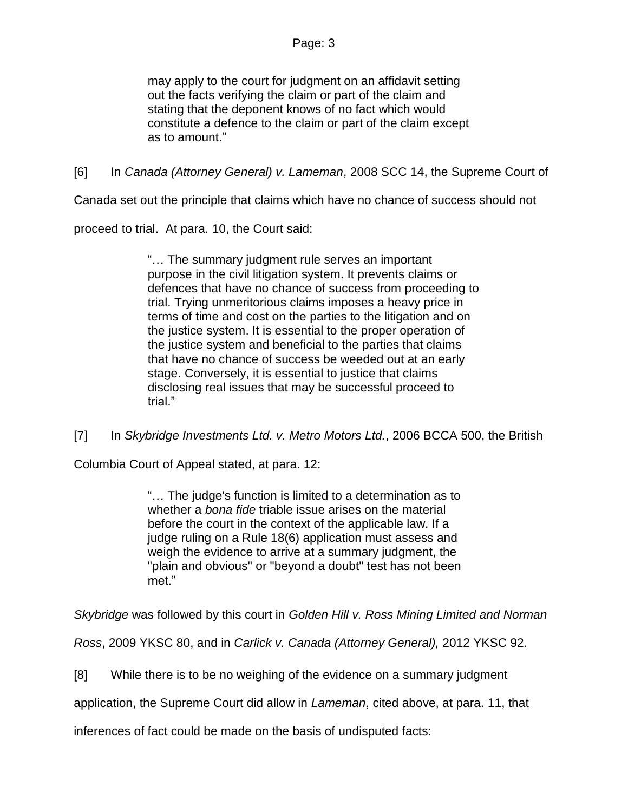may apply to the court for judgment on an affidavit setting out the facts verifying the claim or part of the claim and stating that the deponent knows of no fact which would constitute a defence to the claim or part of the claim except as to amount."

[6] In *Canada (Attorney General) v. Lameman*, 2008 SCC 14, the Supreme Court of

Canada set out the principle that claims which have no chance of success should not

proceed to trial. At para. 10, the Court said:

"… The summary judgment rule serves an important purpose in the civil litigation system. It prevents claims or defences that have no chance of success from proceeding to trial. Trying unmeritorious claims imposes a heavy price in terms of time and cost on the parties to the litigation and on the justice system. It is essential to the proper operation of the justice system and beneficial to the parties that claims that have no chance of success be weeded out at an early stage. Conversely, it is essential to justice that claims disclosing real issues that may be successful proceed to trial."

[7] In *Skybridge Investments Ltd. v. Metro Motors Ltd.*, 2006 BCCA 500, the British

Columbia Court of Appeal stated, at para. 12:

"… The judge's function is limited to a determination as to whether a *bona fide* triable issue arises on the material before the court in the context of the applicable law. If a judge ruling on a Rule 18(6) application must assess and weigh the evidence to arrive at a summary judgment, the "plain and obvious" or "beyond a doubt" test has not been met."

*Skybridge* was followed by this court in *Golden Hill v. Ross Mining Limited and Norman* 

*Ross*, 2009 YKSC 80, and in *Carlick v. Canada (Attorney General),* 2012 YKSC 92.

[8] While there is to be no weighing of the evidence on a summary judgment

application, the Supreme Court did allow in *Lameman*, cited above, at para. 11, that

inferences of fact could be made on the basis of undisputed facts: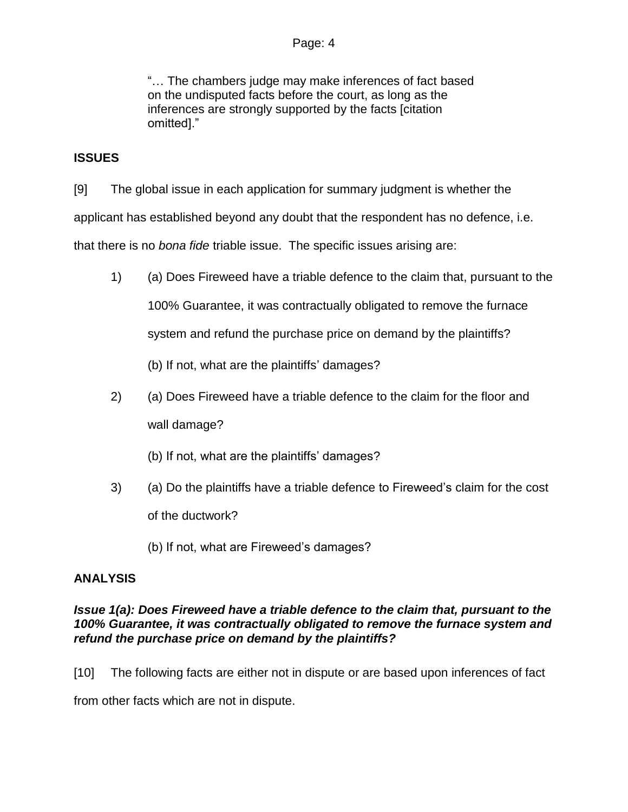"… The chambers judge may make inferences of fact based on the undisputed facts before the court, as long as the inferences are strongly supported by the facts [citation omitted]."

## **ISSUES**

[9] The global issue in each application for summary judgment is whether the

applicant has established beyond any doubt that the respondent has no defence, i.e.

that there is no *bona fide* triable issue. The specific issues arising are:

1) (a) Does Fireweed have a triable defence to the claim that, pursuant to the 100% Guarantee, it was contractually obligated to remove the furnace system and refund the purchase price on demand by the plaintiffs?

(b) If not, what are the plaintiffs' damages?

2) (a) Does Fireweed have a triable defence to the claim for the floor and wall damage?

(b) If not, what are the plaintiffs' damages?

3) (a) Do the plaintiffs have a triable defence to Fireweed's claim for the cost of the ductwork?

(b) If not, what are Fireweed's damages?

## **ANALYSIS**

## *Issue 1(a): Does Fireweed have a triable defence to the claim that, pursuant to the 100% Guarantee, it was contractually obligated to remove the furnace system and refund the purchase price on demand by the plaintiffs?*

[10] The following facts are either not in dispute or are based upon inferences of fact

from other facts which are not in dispute.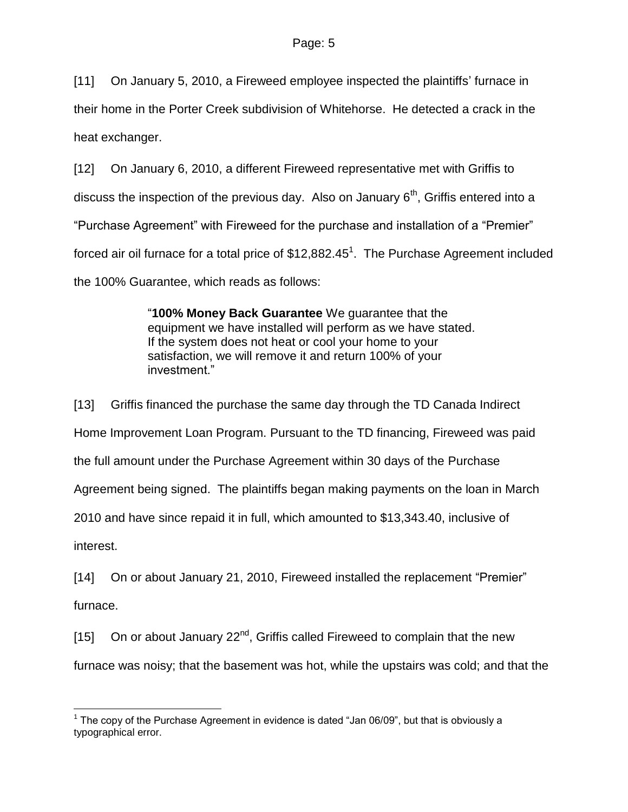[11] On January 5, 2010, a Fireweed employee inspected the plaintiffs' furnace in their home in the Porter Creek subdivision of Whitehorse. He detected a crack in the heat exchanger.

[12] On January 6, 2010, a different Fireweed representative met with Griffis to discuss the inspection of the previous day. Also on January  $6<sup>th</sup>$ , Griffis entered into a "Purchase Agreement" with Fireweed for the purchase and installation of a "Premier" forced air oil furnace for a total price of  $$12,882.45<sup>1</sup>$ . The Purchase Agreement included the 100% Guarantee, which reads as follows:

> "**100% Money Back Guarantee** We guarantee that the equipment we have installed will perform as we have stated. If the system does not heat or cool your home to your satisfaction, we will remove it and return 100% of your investment."

[13] Griffis financed the purchase the same day through the TD Canada Indirect Home Improvement Loan Program. Pursuant to the TD financing, Fireweed was paid the full amount under the Purchase Agreement within 30 days of the Purchase Agreement being signed. The plaintiffs began making payments on the loan in March 2010 and have since repaid it in full, which amounted to \$13,343.40, inclusive of interest.

[14] On or about January 21, 2010, Fireweed installed the replacement "Premier" furnace.

[15] On or about January 22<sup>nd</sup>, Griffis called Fireweed to complain that the new furnace was noisy; that the basement was hot, while the upstairs was cold; and that the

 $\overline{a}$ 

 $1$  The copy of the Purchase Agreement in evidence is dated "Jan 06/09", but that is obviously a typographical error.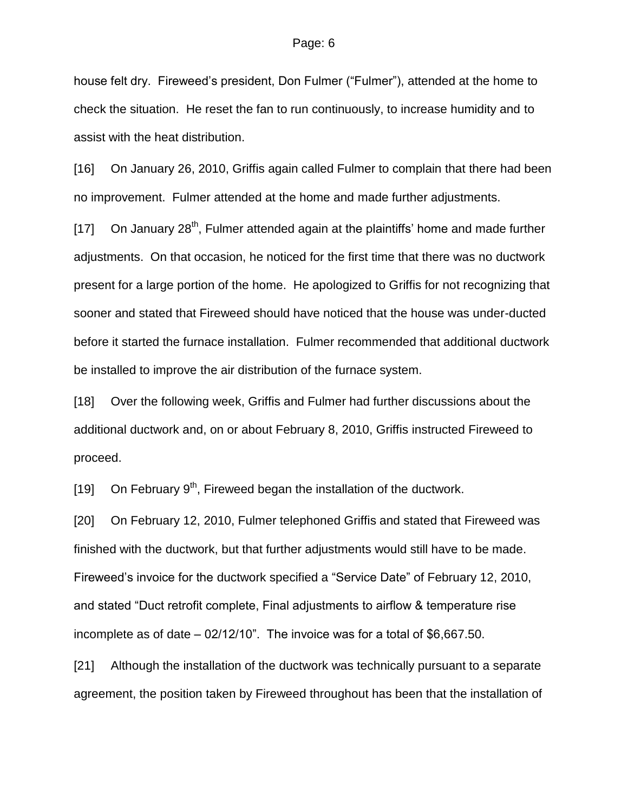house felt dry. Fireweed's president, Don Fulmer ("Fulmer"), attended at the home to check the situation. He reset the fan to run continuously, to increase humidity and to assist with the heat distribution.

[16] On January 26, 2010, Griffis again called Fulmer to complain that there had been no improvement. Fulmer attended at the home and made further adjustments.

[17] On January 28<sup>th</sup>, Fulmer attended again at the plaintiffs' home and made further adjustments. On that occasion, he noticed for the first time that there was no ductwork present for a large portion of the home. He apologized to Griffis for not recognizing that sooner and stated that Fireweed should have noticed that the house was under-ducted before it started the furnace installation. Fulmer recommended that additional ductwork be installed to improve the air distribution of the furnace system.

[18] Over the following week, Griffis and Fulmer had further discussions about the additional ductwork and, on or about February 8, 2010, Griffis instructed Fireweed to proceed.

[19] On February 9<sup>th</sup>, Fireweed began the installation of the ductwork.

[20] On February 12, 2010, Fulmer telephoned Griffis and stated that Fireweed was finished with the ductwork, but that further adjustments would still have to be made. Fireweed's invoice for the ductwork specified a "Service Date" of February 12, 2010, and stated "Duct retrofit complete, Final adjustments to airflow & temperature rise incomplete as of date – 02/12/10". The invoice was for a total of \$6,667.50.

[21] Although the installation of the ductwork was technically pursuant to a separate agreement, the position taken by Fireweed throughout has been that the installation of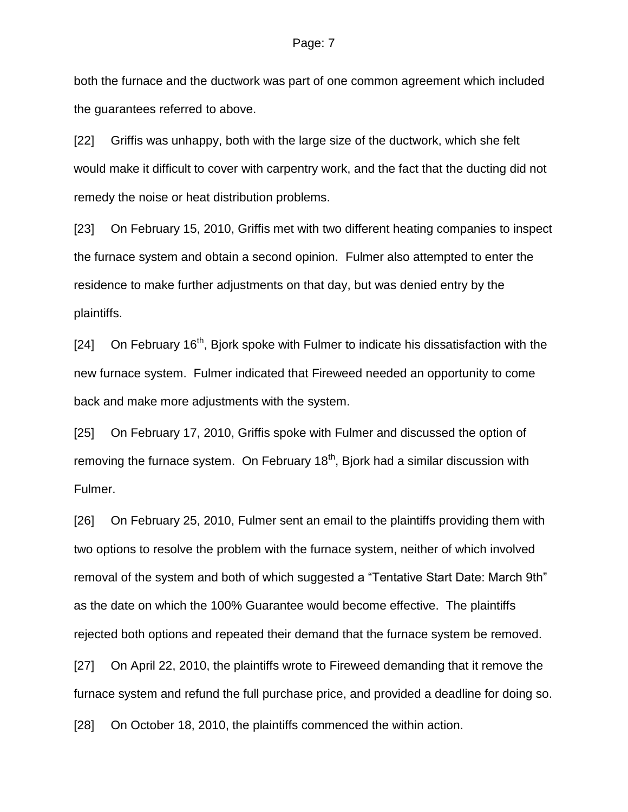both the furnace and the ductwork was part of one common agreement which included the guarantees referred to above.

[22] Griffis was unhappy, both with the large size of the ductwork, which she felt would make it difficult to cover with carpentry work, and the fact that the ducting did not remedy the noise or heat distribution problems.

[23] On February 15, 2010, Griffis met with two different heating companies to inspect the furnace system and obtain a second opinion. Fulmer also attempted to enter the residence to make further adjustments on that day, but was denied entry by the plaintiffs.

 $[24]$  On February 16<sup>th</sup>, Bjork spoke with Fulmer to indicate his dissatisfaction with the new furnace system. Fulmer indicated that Fireweed needed an opportunity to come back and make more adjustments with the system.

[25] On February 17, 2010, Griffis spoke with Fulmer and discussed the option of removing the furnace system. On February  $18<sup>th</sup>$ , Bjork had a similar discussion with Fulmer.

[26] On February 25, 2010, Fulmer sent an email to the plaintiffs providing them with two options to resolve the problem with the furnace system, neither of which involved removal of the system and both of which suggested a "Tentative Start Date: March 9th" as the date on which the 100% Guarantee would become effective. The plaintiffs rejected both options and repeated their demand that the furnace system be removed.

[27] On April 22, 2010, the plaintiffs wrote to Fireweed demanding that it remove the furnace system and refund the full purchase price, and provided a deadline for doing so.

[28] On October 18, 2010, the plaintiffs commenced the within action.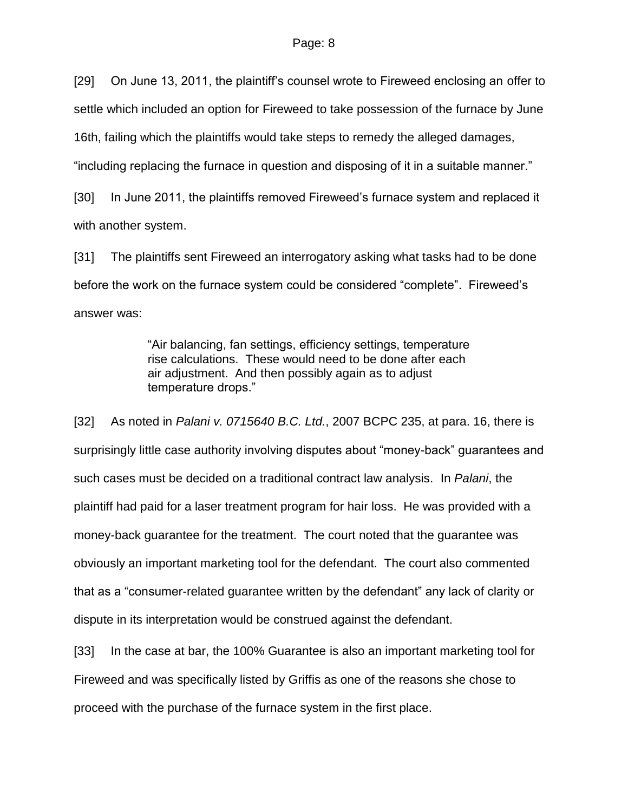[29] On June 13, 2011, the plaintiff's counsel wrote to Fireweed enclosing an offer to settle which included an option for Fireweed to take possession of the furnace by June 16th, failing which the plaintiffs would take steps to remedy the alleged damages, "including replacing the furnace in question and disposing of it in a suitable manner."

[30] In June 2011, the plaintiffs removed Fireweed's furnace system and replaced it with another system.

[31] The plaintiffs sent Fireweed an interrogatory asking what tasks had to be done before the work on the furnace system could be considered "complete". Fireweed's answer was:

> "Air balancing, fan settings, efficiency settings, temperature rise calculations. These would need to be done after each air adjustment. And then possibly again as to adjust temperature drops."

[32] As noted in *Palani v. 0715640 B.C. Ltd.*, 2007 BCPC 235, at para. 16, there is surprisingly little case authority involving disputes about "money-back" guarantees and such cases must be decided on a traditional contract law analysis. In *Palani*, the plaintiff had paid for a laser treatment program for hair loss. He was provided with a money-back guarantee for the treatment. The court noted that the guarantee was obviously an important marketing tool for the defendant. The court also commented that as a "consumer-related guarantee written by the defendant" any lack of clarity or dispute in its interpretation would be construed against the defendant.

[33] In the case at bar, the 100% Guarantee is also an important marketing tool for Fireweed and was specifically listed by Griffis as one of the reasons she chose to proceed with the purchase of the furnace system in the first place.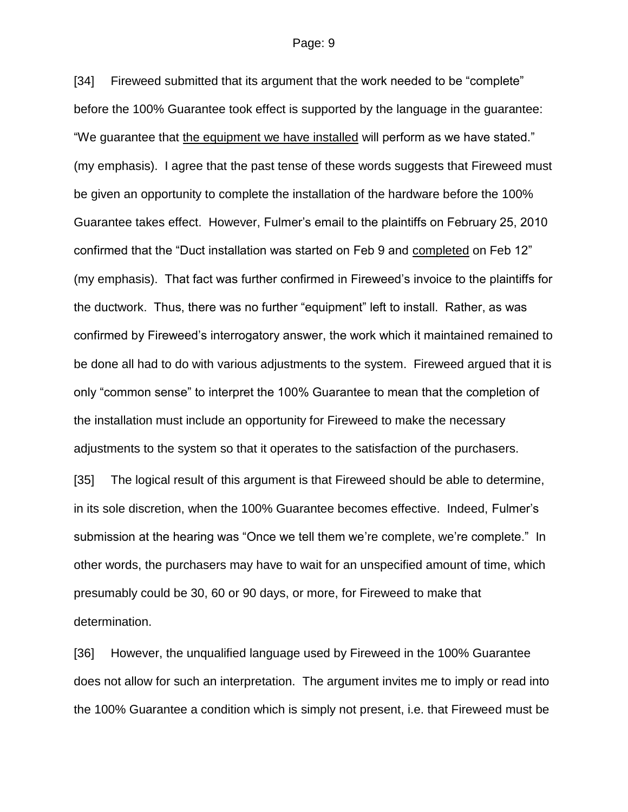[34] Fireweed submitted that its argument that the work needed to be "complete" before the 100% Guarantee took effect is supported by the language in the guarantee: "We guarantee that the equipment we have installed will perform as we have stated." (my emphasis). I agree that the past tense of these words suggests that Fireweed must be given an opportunity to complete the installation of the hardware before the 100% Guarantee takes effect. However, Fulmer's email to the plaintiffs on February 25, 2010 confirmed that the "Duct installation was started on Feb 9 and completed on Feb 12" (my emphasis). That fact was further confirmed in Fireweed's invoice to the plaintiffs for the ductwork. Thus, there was no further "equipment" left to install. Rather, as was confirmed by Fireweed's interrogatory answer, the work which it maintained remained to be done all had to do with various adjustments to the system. Fireweed argued that it is only "common sense" to interpret the 100% Guarantee to mean that the completion of the installation must include an opportunity for Fireweed to make the necessary adjustments to the system so that it operates to the satisfaction of the purchasers.

[35] The logical result of this argument is that Fireweed should be able to determine, in its sole discretion, when the 100% Guarantee becomes effective. Indeed, Fulmer's submission at the hearing was "Once we tell them we're complete, we're complete." In other words, the purchasers may have to wait for an unspecified amount of time, which presumably could be 30, 60 or 90 days, or more, for Fireweed to make that determination.

[36] However, the unqualified language used by Fireweed in the 100% Guarantee does not allow for such an interpretation. The argument invites me to imply or read into the 100% Guarantee a condition which is simply not present, i.e. that Fireweed must be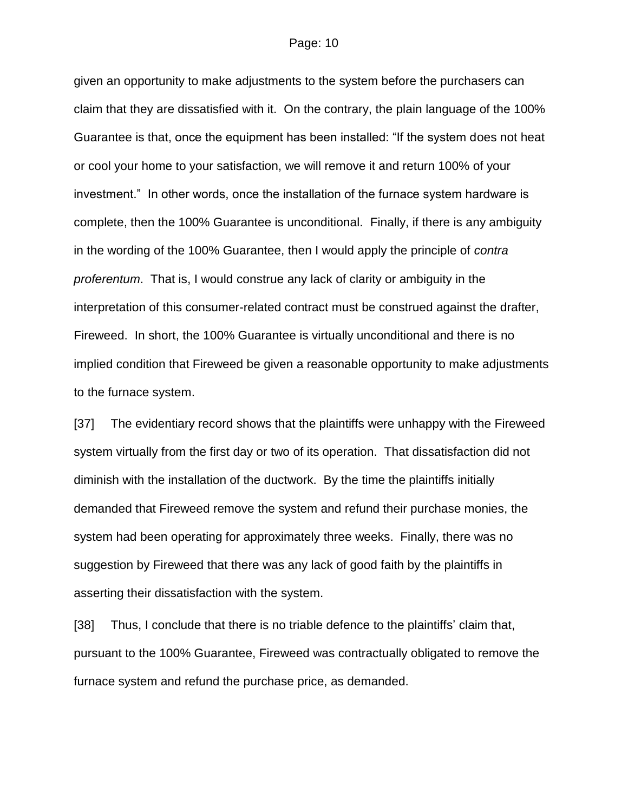given an opportunity to make adjustments to the system before the purchasers can claim that they are dissatisfied with it. On the contrary, the plain language of the 100% Guarantee is that, once the equipment has been installed: "If the system does not heat or cool your home to your satisfaction, we will remove it and return 100% of your investment." In other words, once the installation of the furnace system hardware is complete, then the 100% Guarantee is unconditional. Finally, if there is any ambiguity in the wording of the 100% Guarantee, then I would apply the principle of *contra proferentum*. That is, I would construe any lack of clarity or ambiguity in the interpretation of this consumer-related contract must be construed against the drafter, Fireweed. In short, the 100% Guarantee is virtually unconditional and there is no implied condition that Fireweed be given a reasonable opportunity to make adjustments to the furnace system.

[37] The evidentiary record shows that the plaintiffs were unhappy with the Fireweed system virtually from the first day or two of its operation. That dissatisfaction did not diminish with the installation of the ductwork. By the time the plaintiffs initially demanded that Fireweed remove the system and refund their purchase monies, the system had been operating for approximately three weeks. Finally, there was no suggestion by Fireweed that there was any lack of good faith by the plaintiffs in asserting their dissatisfaction with the system.

[38] Thus, I conclude that there is no triable defence to the plaintiffs' claim that, pursuant to the 100% Guarantee, Fireweed was contractually obligated to remove the furnace system and refund the purchase price, as demanded.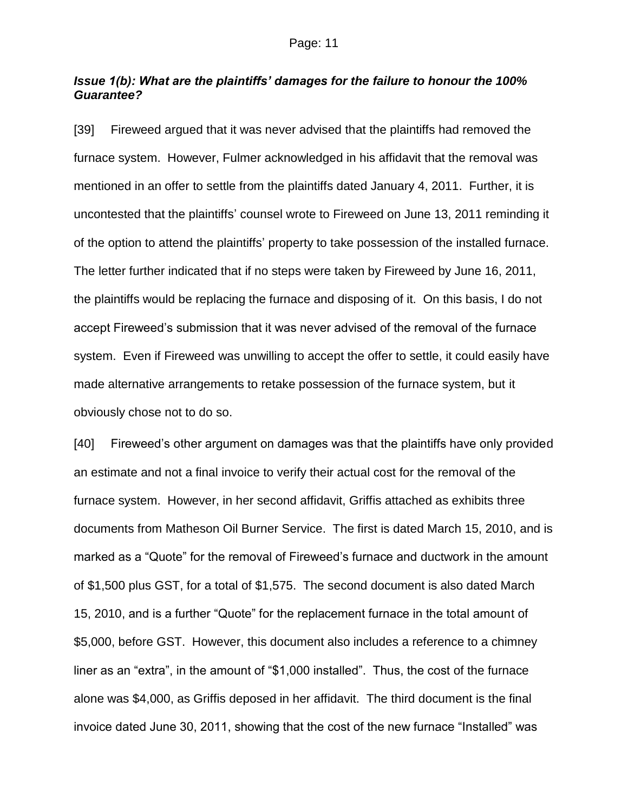## *Issue 1(b): What are the plaintiffs' damages for the failure to honour the 100% Guarantee?*

[39] Fireweed argued that it was never advised that the plaintiffs had removed the furnace system. However, Fulmer acknowledged in his affidavit that the removal was mentioned in an offer to settle from the plaintiffs dated January 4, 2011. Further, it is uncontested that the plaintiffs' counsel wrote to Fireweed on June 13, 2011 reminding it of the option to attend the plaintiffs' property to take possession of the installed furnace. The letter further indicated that if no steps were taken by Fireweed by June 16, 2011, the plaintiffs would be replacing the furnace and disposing of it. On this basis, I do not accept Fireweed's submission that it was never advised of the removal of the furnace system. Even if Fireweed was unwilling to accept the offer to settle, it could easily have made alternative arrangements to retake possession of the furnace system, but it obviously chose not to do so.

[40] Fireweed's other argument on damages was that the plaintiffs have only provided an estimate and not a final invoice to verify their actual cost for the removal of the furnace system. However, in her second affidavit, Griffis attached as exhibits three documents from Matheson Oil Burner Service. The first is dated March 15, 2010, and is marked as a "Quote" for the removal of Fireweed's furnace and ductwork in the amount of \$1,500 plus GST, for a total of \$1,575. The second document is also dated March 15, 2010, and is a further "Quote" for the replacement furnace in the total amount of \$5,000, before GST. However, this document also includes a reference to a chimney liner as an "extra", in the amount of "\$1,000 installed". Thus, the cost of the furnace alone was \$4,000, as Griffis deposed in her affidavit. The third document is the final invoice dated June 30, 2011, showing that the cost of the new furnace "Installed" was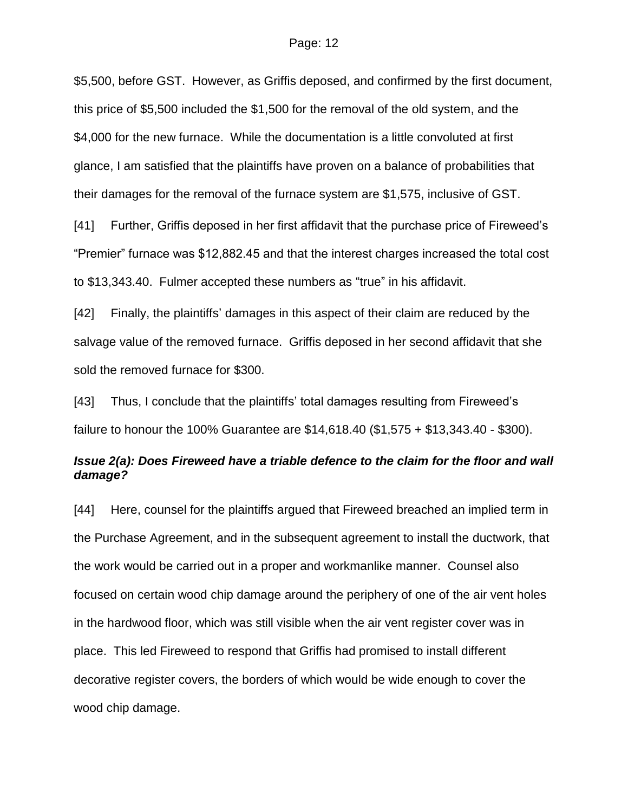\$5,500, before GST. However, as Griffis deposed, and confirmed by the first document, this price of \$5,500 included the \$1,500 for the removal of the old system, and the \$4,000 for the new furnace. While the documentation is a little convoluted at first glance, I am satisfied that the plaintiffs have proven on a balance of probabilities that their damages for the removal of the furnace system are \$1,575, inclusive of GST.

[41] Further, Griffis deposed in her first affidavit that the purchase price of Fireweed's "Premier" furnace was \$12,882.45 and that the interest charges increased the total cost to \$13,343.40. Fulmer accepted these numbers as "true" in his affidavit.

[42] Finally, the plaintiffs' damages in this aspect of their claim are reduced by the salvage value of the removed furnace. Griffis deposed in her second affidavit that she sold the removed furnace for \$300.

[43] Thus, I conclude that the plaintiffs' total damages resulting from Fireweed's failure to honour the 100% Guarantee are \$14,618.40 (\$1,575 + \$13,343.40 - \$300).

## *Issue 2(a): Does Fireweed have a triable defence to the claim for the floor and wall damage?*

[44] Here, counsel for the plaintiffs argued that Fireweed breached an implied term in the Purchase Agreement, and in the subsequent agreement to install the ductwork, that the work would be carried out in a proper and workmanlike manner. Counsel also focused on certain wood chip damage around the periphery of one of the air vent holes in the hardwood floor, which was still visible when the air vent register cover was in place. This led Fireweed to respond that Griffis had promised to install different decorative register covers, the borders of which would be wide enough to cover the wood chip damage.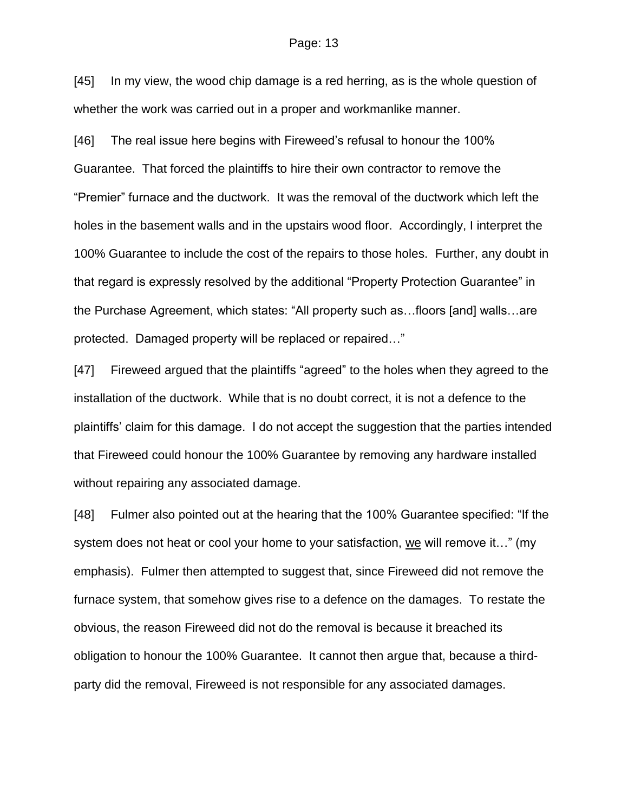[45] In my view, the wood chip damage is a red herring, as is the whole question of whether the work was carried out in a proper and workmanlike manner.

[46] The real issue here begins with Fireweed's refusal to honour the 100% Guarantee. That forced the plaintiffs to hire their own contractor to remove the "Premier" furnace and the ductwork. It was the removal of the ductwork which left the holes in the basement walls and in the upstairs wood floor. Accordingly, I interpret the 100% Guarantee to include the cost of the repairs to those holes. Further, any doubt in that regard is expressly resolved by the additional "Property Protection Guarantee" in the Purchase Agreement, which states: "All property such as…floors [and] walls…are protected. Damaged property will be replaced or repaired…"

[47] Fireweed argued that the plaintiffs "agreed" to the holes when they agreed to the installation of the ductwork. While that is no doubt correct, it is not a defence to the plaintiffs' claim for this damage. I do not accept the suggestion that the parties intended that Fireweed could honour the 100% Guarantee by removing any hardware installed without repairing any associated damage.

[48] Fulmer also pointed out at the hearing that the 100% Guarantee specified: "If the system does not heat or cool your home to your satisfaction, we will remove it…" (my emphasis). Fulmer then attempted to suggest that, since Fireweed did not remove the furnace system, that somehow gives rise to a defence on the damages. To restate the obvious, the reason Fireweed did not do the removal is because it breached its obligation to honour the 100% Guarantee. It cannot then argue that, because a thirdparty did the removal, Fireweed is not responsible for any associated damages.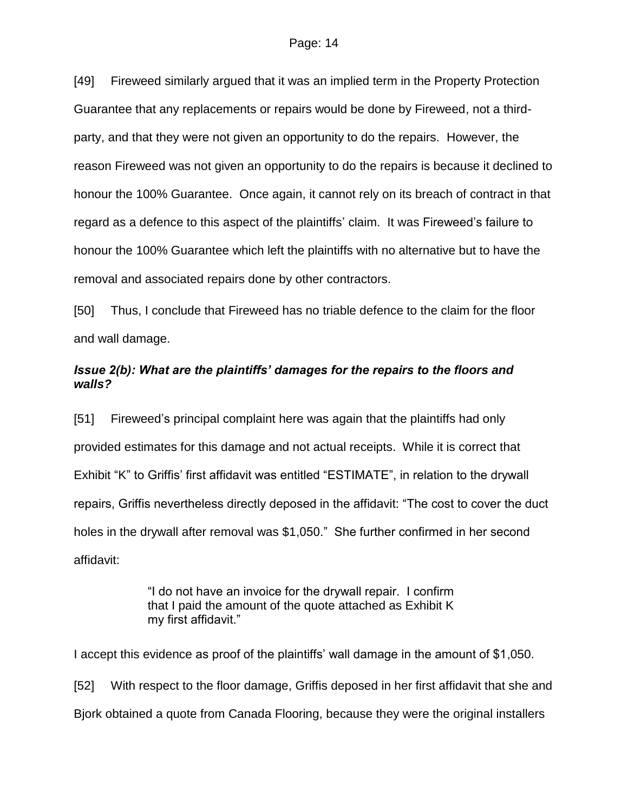[49] Fireweed similarly argued that it was an implied term in the Property Protection Guarantee that any replacements or repairs would be done by Fireweed, not a thirdparty, and that they were not given an opportunity to do the repairs. However, the reason Fireweed was not given an opportunity to do the repairs is because it declined to honour the 100% Guarantee. Once again, it cannot rely on its breach of contract in that regard as a defence to this aspect of the plaintiffs' claim. It was Fireweed's failure to honour the 100% Guarantee which left the plaintiffs with no alternative but to have the removal and associated repairs done by other contractors.

[50] Thus, I conclude that Fireweed has no triable defence to the claim for the floor and wall damage.

## *Issue 2(b): What are the plaintiffs' damages for the repairs to the floors and walls?*

[51] Fireweed's principal complaint here was again that the plaintiffs had only provided estimates for this damage and not actual receipts. While it is correct that Exhibit "K" to Griffis' first affidavit was entitled "ESTIMATE", in relation to the drywall repairs, Griffis nevertheless directly deposed in the affidavit: "The cost to cover the duct holes in the drywall after removal was \$1,050." She further confirmed in her second affidavit:

> "I do not have an invoice for the drywall repair. I confirm that I paid the amount of the quote attached as Exhibit K my first affidavit."

I accept this evidence as proof of the plaintiffs' wall damage in the amount of \$1,050. [52] With respect to the floor damage, Griffis deposed in her first affidavit that she and Bjork obtained a quote from Canada Flooring, because they were the original installers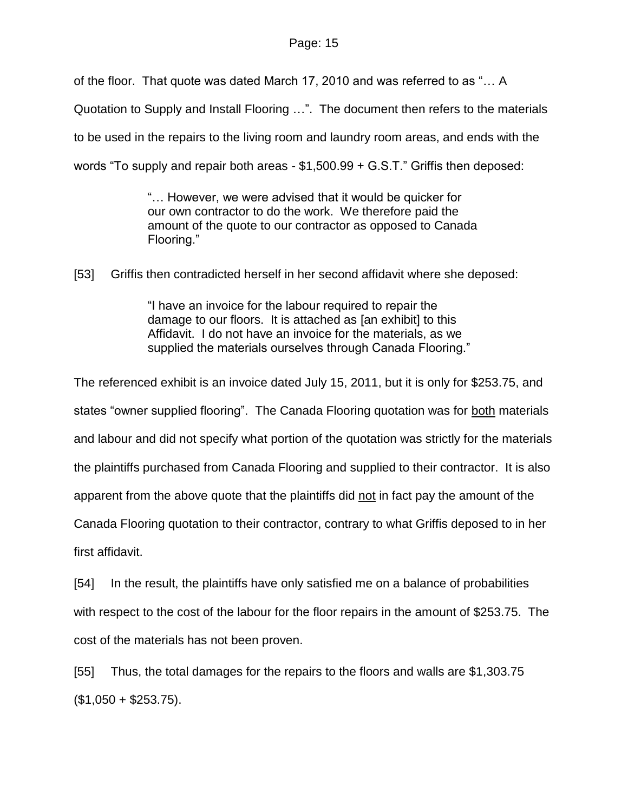of the floor. That quote was dated March 17, 2010 and was referred to as "… A

Quotation to Supply and Install Flooring …". The document then refers to the materials

to be used in the repairs to the living room and laundry room areas, and ends with the

words "To supply and repair both areas - \$1,500.99 + G.S.T." Griffis then deposed:

"… However, we were advised that it would be quicker for our own contractor to do the work. We therefore paid the amount of the quote to our contractor as opposed to Canada Flooring."

[53] Griffis then contradicted herself in her second affidavit where she deposed:

"I have an invoice for the labour required to repair the damage to our floors. It is attached as [an exhibit] to this Affidavit. I do not have an invoice for the materials, as we supplied the materials ourselves through Canada Flooring."

The referenced exhibit is an invoice dated July 15, 2011, but it is only for \$253.75, and states "owner supplied flooring". The Canada Flooring quotation was for both materials and labour and did not specify what portion of the quotation was strictly for the materials the plaintiffs purchased from Canada Flooring and supplied to their contractor. It is also apparent from the above quote that the plaintiffs did not in fact pay the amount of the Canada Flooring quotation to their contractor, contrary to what Griffis deposed to in her first affidavit.

[54] In the result, the plaintiffs have only satisfied me on a balance of probabilities with respect to the cost of the labour for the floor repairs in the amount of \$253.75. The cost of the materials has not been proven.

[55] Thus, the total damages for the repairs to the floors and walls are \$1,303.75  $($1,050 + $253.75).$